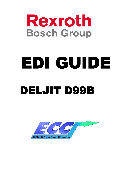

# EDI GUIDE DELJIT D99B

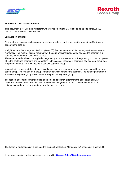



## **Who should read this document?**

This document is for EDI-administrators who will implement this EDI-guide to be able to sent EDIFACT DELJIT D 99 B to Bosch Rexroth AG.

#### **Explanation of usage:**

First of all, the usage of each segment has to be considered, so if a segment is mandatory (M), it has to appear in the data file.

It might happen, that a segment itself is optional (O), but the elements wihtin the segment are declared as mandatory. This means, it is not required that the segment is included, but as soon as the segment is in data file, the mandatory fields must be filled.

The same procedure has to be applied to segment groups and segements: A segment group can be optional, while the contained segments are mandatory. In this case all mandatory segments of a segment group has to apear in the data file, if you decide to use this segment group.

In case that in a segment describtion is listed more than one segement group, you have to read them from bottom to top. The first segment group is that group which contains the segment. The next segment group above is the segment group which contains the previous segment group.

The request of certain segment groups, segments or fields may differ from the describtion of DELJIT D99B like it is distributed from the UNECE. We have changed the request of some elements from optional to mandatory as they are important for our processes.

The letters M and respectivly O indicate the status of application: Mandatory (M), respectivly Optional (O).

If you have questions to this guide, send an e-mail to: **SupportSales.EDI@de.bosch.com**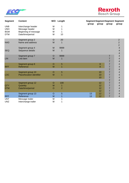



| <b>Segment</b> | <b>Content</b>            |         | M/O Length     | <b>Segment Segment Segment Segment</b><br>group | group | group          | group                    |
|----------------|---------------------------|---------|----------------|-------------------------------------------------|-------|----------------|--------------------------|
| <b>UNB</b>     | Interchange header        | M       | 1              |                                                 |       |                |                          |
| <b>UNH</b>     | Message header            | M       | 1              |                                                 |       |                |                          |
| <b>BGM</b>     | Beginning of message      | M       | 1              |                                                 |       |                |                          |
| <b>DTM</b>     | Date/time/period          | M       | 10             |                                                 |       |                |                          |
|                | Segment group 2           | $\circ$ | 20             |                                                 |       |                | $\overline{2}$           |
| <b>NAD</b>     | Name and address          | M       | 1              |                                                 |       |                | $\overline{c}$           |
|                |                           |         |                |                                                 |       |                | $\overline{c}$           |
|                | Segment group 4           | M       | 9999           |                                                 |       |                | $\overline{\mathbf{4}}$  |
| <b>SEQ</b>     | Sequence details          | M       | 1              |                                                 |       |                | 4                        |
|                |                           |         |                |                                                 |       |                | 4                        |
|                | Segment group 7           | $\circ$ | 9999           |                                                 |       | 7              | $\overline{\mathcal{A}}$ |
| <b>LIN</b>     | Line item                 | M       | 1              |                                                 |       | 7              | 4                        |
|                |                           |         |                |                                                 |       | 7              | 4                        |
|                | Segment group 8           | $\circ$ | 5              |                                                 | 8     | $\overline{7}$ | 4                        |
| <b>RFF</b>     | Reference                 | M       | 1              |                                                 | 8     | $\overline{7}$ | 4                        |
|                |                           |         |                |                                                 |       | 7              | 4                        |
|                | Segment group 10          | $\circ$ | 5              |                                                 | 10    | 7              | 4                        |
| <b>LOC</b>     | Place/location identifier | M       | 1              |                                                 | 10    | 7              | $\overline{\mathcal{A}}$ |
|                |                           |         |                |                                                 | 10    | $\overline{7}$ | 4                        |
|                |                           |         |                |                                                 |       | $\overline{7}$ | 4                        |
|                | Segment group 12          | O       | 100            |                                                 | 12    | 7              | 4                        |
| <b>QTY</b>     | Quantity                  | M       | 1              |                                                 | 12    | 7              | 4                        |
| <b>DTM</b>     | Date/time/period          | O       | $\overline{a}$ |                                                 | 12    | $\overline{7}$ | 4                        |
|                |                           |         |                |                                                 | 12    | $\overline{7}$ | 4                        |
|                | Segment group 13          | $\circ$ | $\overline{5}$ | 13                                              | 12    | $\overline{7}$ | 4                        |
| <b>RFF</b>     | Reference                 | M       | 1              | 13                                              | 12    | $\overline{7}$ | 4                        |
| <b>UNT</b>     | Message trailer           | M       | 1              |                                                 |       |                |                          |
| <b>UNZ</b>     | Interchange trailer       | M       | 1              |                                                 |       |                |                          |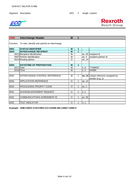



| <b>UNB</b>  | <b>Interchange Header</b>                              | M       | 1 |         |                                                      |
|-------------|--------------------------------------------------------|---------|---|---------|------------------------------------------------------|
|             | Function To start, identify and specify an interchange |         |   |         |                                                      |
| <b>S001</b> | <b>SYNTAX IDENTIFIER</b>                               | M       | 1 |         |                                                      |
| <b>S003</b> | <b>INTERCHANGE RECIPIENT</b>                           | M       | 1 |         |                                                      |
|             | 0010 Recipient Identification                          | М       |   |         | an35 recipient id                                    |
|             | 0007 Partner identification                            | M       |   | an. $4$ | recipient partner id                                 |
|             | 0014 Routing adress                                    | O       |   | an14    |                                                      |
|             |                                                        |         |   |         |                                                      |
| <b>S004</b> | <b>DATE/TIME OF PREPARATION</b>                        | M       | 1 |         |                                                      |
| 0017 Date   |                                                        | м       |   | n.6     | YYMMDD                                               |
|             | 0019 Time                                              | M       |   | n.A     | <b>HHMM</b>                                          |
|             |                                                        |         |   |         |                                                      |
| 0020        | <b>INTERCHANGE CONTROL REFERENCE</b>                   | M       | 1 |         | an14 unique reference assigned by<br>sender (e.g. 2) |
| 0026        | <b>APPLICATION REFERENCE</b>                           | O       | 1 | an14    |                                                      |
|             |                                                        |         |   |         |                                                      |
| 0029        | PROCESSING PRIORITY CODE                               | $\circ$ | 1 | an.1    |                                                      |
|             |                                                        |         |   |         |                                                      |
| 0031        | <b>ACKNOWLEDGEMENT REQUEST</b>                         | O       | 1 | n.1     |                                                      |
|             |                                                        |         |   |         |                                                      |
| 0032        | <b>COMMUNICATIONS AGREEMENT ID</b>                     | O       | 1 | an35    |                                                      |
|             |                                                        |         |   |         |                                                      |
| 0035        | <b>TEST INDICATOR</b>                                  | O       | 1 | ln.1    |                                                      |

**Example: UNB+UNOC:3+ECCREX:ZZ+123456:AB+120817:1058+2'**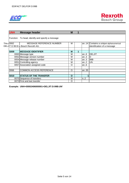

| <b>UNH</b>  | <b>Message header</b>                             | M |   |        |                                       |
|-------------|---------------------------------------------------|---|---|--------|---------------------------------------|
|             | Function: To head, identify and specify a message |   |   |        |                                       |
| This (0062  | MESSAGE REFERENCE NUMBER                          | м |   |        | an14 Contains a unique alphanumerical |
|             | DELJIT D 99 B to Bosch Rexroth AG.                |   |   |        | identification of a message           |
|             |                                                   |   |   |        |                                       |
| <b>S009</b> | <b>MESSAGE IDENTIFIER</b>                         | M | 1 |        |                                       |
|             | 0065 Message type                                 | м |   | an.6   | <b>DELJIT</b>                         |
|             | 0052 Message version number                       | м |   | an3    | ID                                    |
|             | 0054 Message release number                       | М |   | an.3   | 99B                                   |
|             | 0051 Controlling agency                           | м |   | an $2$ | UN                                    |
|             | 0057 Association assigned code                    | O |   | an $6$ |                                       |
|             |                                                   |   |   |        |                                       |
| 0068        | <b>COMMON ACCESS REFERENCE</b>                    | O |   | an35   |                                       |
|             |                                                   |   |   |        |                                       |
| <b>S010</b> | <b>STATUS OF THE TRANSFER</b>                     | O |   |        |                                       |
|             | 0070 Sequence of transfers                        | М |   | n.2    |                                       |
|             | 0073 First and last transfer                      | O |   |        |                                       |

**Example: UNH+00002406000001+DELJIT:D:99B:UN'**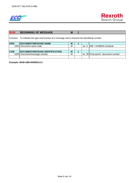

| <b>BGM</b>       | <b>BEGINNING OF MESSAGE</b>                                                                      | M |  |                                   |
|------------------|--------------------------------------------------------------------------------------------------|---|--|-----------------------------------|
|                  | Function: To indicate the type and function of a message and to transmit the identifying number. |   |  |                                   |
| <b>C002</b>      | <b>DOCUMENT/MESSAGE NAME</b>                                                                     | M |  |                                   |
| 1001             | Document name code                                                                               | M |  | an3 $ 288 = KANBAN$ schedule      |
|                  |                                                                                                  |   |  |                                   |
| C <sub>106</sub> | <b>IDOCUMENT/MESSAGE IDENTIFICATION</b>                                                          | M |  |                                   |
| 1004 <b>1</b>    | Document/message number                                                                          | M |  | an35 Prod.synchr. document number |
|                  |                                                                                                  |   |  |                                   |

**Example: BGM+288+0000001111'**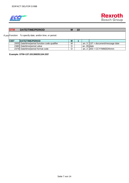



# **DTM DATE/TIME/PERIOD M 10**

If you Function: To specify date, and/or time, or period.

| <b>C507</b> | <b>IDATE/TIME/PERIOD</b>                      | M |            |                                   |
|-------------|-----------------------------------------------|---|------------|-----------------------------------|
|             | 2005 Date/time/period function code qualifier | M |            | an3 $137$ = document/message date |
|             | 2380 Date/time/period value                   |   | an35 Idate |                                   |
|             | 2379 Date/time/period format code             |   |            | an3   203 = CCYYMMDDhhmm          |

**Example: DTM+137:201308291104:203'**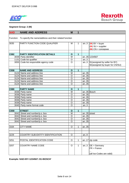



## **Segment Group: 2 (M)**

| <b>NAD</b>        | <b>NAME AND ADDRESS</b>                                          | M                       | 1            |             |                                 |
|-------------------|------------------------------------------------------------------|-------------------------|--------------|-------------|---------------------------------|
|                   | Function: To specify the name/address and their related function |                         |              |             |                                 |
|                   |                                                                  |                         |              |             |                                 |
| 3035              | PARTY FUNCTION CODE QUALIFIER                                    | M                       | 1            | an.3        | $(M) BY = buyer$                |
|                   |                                                                  |                         |              |             | $(M)$ SU = supplier             |
|                   |                                                                  |                         |              |             | $(M)$ CN = consignee            |
|                   |                                                                  |                         |              |             |                                 |
| C082              | <b>PARTY IDENTIFICATION DETAILS</b>                              | $\mathbf{o}$            | 1            |             |                                 |
|                   | 3039 Party identifier                                            | M                       |              |             | an35 1234567                    |
|                   | 1131 Code list qualifier                                         | $\circ$                 |              | an.3        |                                 |
|                   | 3055 Code list responsible agency code                           | $\circ$                 |              | an.3        | 91 (assigned by seller for BY)  |
|                   |                                                                  |                         |              |             | 92(assigned by buyer for CN/SU) |
|                   |                                                                  |                         |              |             |                                 |
| $\overline{C}058$ | <b>NAME AND ADDRESS</b>                                          | $\mathbf{o}$            | $\mathbf{1}$ |             |                                 |
|                   | 3124 Name and address line                                       | M                       |              | an35        |                                 |
|                   | 3124 Name and address line                                       | $\circ$                 |              | an35        |                                 |
|                   | 3124 Name and address line                                       | $\circ$                 |              | an35        |                                 |
|                   | 3124 Name and address line                                       | $\overline{0}$          |              | an35        |                                 |
|                   | 3124 Name and address line                                       | $\overline{0}$          |              | an35        |                                 |
|                   |                                                                  |                         |              |             |                                 |
| <b>C080</b>       | <b>PARTY NAME</b>                                                | $\mathbf{o}$            | $\mathbf{1}$ |             |                                 |
|                   | 3036 Party name                                                  | $\overline{\mathsf{M}}$ |              |             | an35 Bosch                      |
|                   | 3036 Party name                                                  | $\circ$                 |              | an35        |                                 |
|                   | 3036 Party name                                                  | $\circ$                 |              | an35        |                                 |
|                   | 3036 Party name                                                  | $\circ$                 |              | an35        |                                 |
|                   | 3036 Party name                                                  | $\overline{0}$          |              | an35        |                                 |
|                   | 3045 Party name format code                                      | $\circ$                 |              | an.3        |                                 |
|                   |                                                                  |                         |              |             |                                 |
| C059              | <b>STREET</b>                                                    | $\mathbf{o}$            | 1            |             |                                 |
|                   | 3042 Street and number/p.o. box                                  | M                       |              | an35 street |                                 |
|                   | 3042 Street and number/p.o. box                                  | O                       |              | an35        |                                 |
|                   | 3042 Street and number/p.o. box                                  | $\circ$                 |              | an35        |                                 |
|                   | 3042 Street and number/p.o. box                                  | $\circ$                 |              | an35        |                                 |
|                   |                                                                  |                         |              |             |                                 |
| 3164              | <b>CITY NAME</b>                                                 | $\circ$                 | 1            | an35        |                                 |
|                   |                                                                  |                         |              |             |                                 |
|                   |                                                                  |                         |              |             |                                 |
| 3229              | COUNTRY SUB-ENTITY IDENTIFICATION                                | $\circ$                 |              | an.9        |                                 |
|                   |                                                                  |                         |              |             |                                 |
| 3251              | POSTAL IDENTIFICATION CODE                                       | $\circ$                 | 1            |             | an17 $ zip\>code$               |
|                   |                                                                  |                         |              |             |                                 |
| 3207              | <b>COUNTRY NAME CODE</b>                                         | $\circ$                 | 1            | an.3        | $DE = Germany$                  |
|                   |                                                                  |                         |              |             | $FR = France$                   |
|                   |                                                                  |                         |              |             |                                 |
|                   |                                                                  |                         |              |             | (all Iso-Codes are valid)       |
|                   |                                                                  |                         |              |             |                                 |

**Example: NAD+BY+1234567::91+BOSCH'**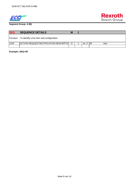



**Segment Group: 4 (M)**

| <b>SEQ</b> | <b>SEQUENCE DETAILS</b>                              | M        |         |     |
|------------|------------------------------------------------------|----------|---------|-----|
|            | Function: To identify a line item and configuration. |          |         |     |
| 1229       | ACTION REQUEST/NOTIFICATION DESCRIPTIO               | $\Omega$ | an3 139 | new |
|            |                                                      |          |         |     |

**Example: SEQ+39'**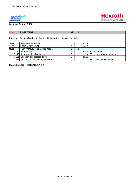



**Segment Group: 7 (M)**

| <b>LIN</b>       | <b>LINE ITEM</b>                                                            | M |            |                     |
|------------------|-----------------------------------------------------------------------------|---|------------|---------------------|
|                  | Function: To specify additional or substitutional item identification codes |   |            |                     |
| 1082             | <b>LINE ITEM NUMBER</b>                                                     | O | an $6$     |                     |
| 1229             | <b>ACTION REQUEST</b>                                                       | O | an.3       |                     |
| C <sub>212</sub> | <b>ITEM NUMBER IDENTIFICATION</b>                                           | O |            |                     |
|                  | 7140 Item number                                                            | O |            | an35 article number |
|                  | 7143 Item type identification code                                          | O | an3 $ BP $ | buyer's part number |
|                  | 1131 Code list identification code                                          | O | an.3       |                     |
|                  | 3055 Code list responsible agenca code                                      | O | an. $3$ 92 | assigned by buyer   |

**Example: LIN+++10038712:BP::92'**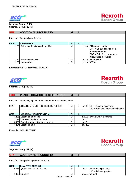



**Segment Group: 8 (M) Segment Group: 13 (M)**

| <b>RFF</b> | <b>ADDITIONAL PRODUCT ID</b>           | M |        |                                                                                                                                  |
|------------|----------------------------------------|---|--------|----------------------------------------------------------------------------------------------------------------------------------|
|            | Function: To specify a reference.      |   |        |                                                                                                                                  |
| C506       | <b>REFERENCE</b>                       | M |        |                                                                                                                                  |
|            | 1153 Reference function code qualifier | M |        | an3 $ION = order number$<br>UCN = Unique consignment<br>reference number<br>COF = Call off order number<br>(Sequenced JIT Calls) |
|            | 1154 Reference identifier              | O |        | an35 5500058126                                                                                                                  |
|            | 1156 Line number                       | O | an $6$ | 00010                                                                                                                            |

### **Example: RFF+ON:5500058126:00010'**



# **Rexroth Bosch Group**

**Segment Group: 10 (M)**

| <b>LOC</b> | <b>PLACE/LOCATION IDENTIFICATION</b>                       | M        |   |          |                                       |
|------------|------------------------------------------------------------|----------|---|----------|---------------------------------------|
| Function   | To identify a place or a location and/or related locations |          |   |          |                                       |
| 3227       | <b>LOCATION FUNCTION CODE QUALIFIER</b>                    | м        |   | an3 $11$ | $=$ Place of discharge                |
|            |                                                            |          |   |          | 159 = Additional internal destination |
|            |                                                            |          |   |          |                                       |
| C517       | <b>LOCATION IDENTIFICATION</b>                             | $\Omega$ | 1 |          |                                       |
|            | 3225 Location name code                                    | O        |   |          | an25 ID of place of discharge         |
| 1131 I     | Code list identification code                              | O        |   | an.3     |                                       |
|            | 3055 Code list responsible agency code                     | O        |   | an.3     |                                       |
|            | 3224 Location name                                         | $\Omega$ |   | an256    |                                       |

**Example: LOC+11+W411'**



# **Segment Group: 12 (M)**

| <b>QTY</b>       | <b>ADDITIONAL PRODUCT ID</b>               | M |  |                                                        |
|------------------|--------------------------------------------|---|--|--------------------------------------------------------|
|                  | Function: To specify a pertinent quantity. |   |  |                                                        |
| C <sub>186</sub> |                                            |   |  |                                                        |
|                  | <b>QUANTITY DETAILS</b>                    | M |  |                                                        |
|                  | 6063 Quantity type code qualifier          | M |  |                                                        |
|                  |                                            |   |  | an3 $52 =$ quatity per pack<br>113 = delivery quantity |
|                  |                                            |   |  |                                                        |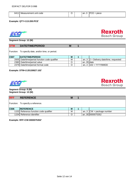| 641 | unit code<br>Measurement | . . | `anJ | ാല<br>piece<br>–<br>◡∟ |
|-----|--------------------------|-----|------|------------------------|
|     |                          |     |      |                        |

## **Example: QTY+113:200:PCE'**



**Rexroth Bosch Group** 

**Segment Group: 12 (M)**

| <b>DTM</b> | <b>DATE/TIME/PERIOD</b>                            | M |           |                                          |
|------------|----------------------------------------------------|---|-----------|------------------------------------------|
|            | Function: To specify date, and/or time, or period. |   |           |                                          |
| C507       | DATE/TIME/PERIOD                                   | M |           |                                          |
|            | 2005 Date/time/period function code qualifier      | M |           | an3 $ 2$ = Delivery date/time, requested |
|            | 2380 Date/time/period value                        | O | an35 date |                                          |
|            | 2379 Date/time/period format code                  | O |           | an3 $102 = YYYYMMDD$                     |

## **Example: DTM+2:20130827:102'**





## **Segment Group: 8 (M) Segment Group: 13 (M)**

| <b>RFF</b> | <b>REFERENCE</b>                       | M |  |                                     |
|------------|----------------------------------------|---|--|-------------------------------------|
|            | Function: To specify a reference.      |   |  |                                     |
| C506       | <b>REFERENCE</b>                       | M |  |                                     |
|            | 1153 Reference function code qualifier | M |  | an3 $\textsf{ICW}$ = package number |
|            | 1154 Reference identifier              | O |  | an35 0000075352                     |

**Example: RFF+CW:0000075352'**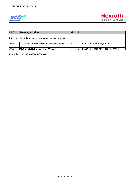

| <b>UNT</b> | <b>Message trailer</b>                                   | M |     |                                      |
|------------|----------------------------------------------------------|---|-----|--------------------------------------|
|            | Function: To end and check the completeness of a message |   |     |                                      |
| 0074       | <b>INUMBER OF SEGMENTS IN THE MESSAGE</b>                | M | In6 | number of segments                   |
|            |                                                          |   |     |                                      |
| 0062       | <b>IMESSAGE REFERECNCE NUMBER</b>                        | М |     | Jan14   message reference (like UNH) |

**Example: UNT+18+00002406000001'**